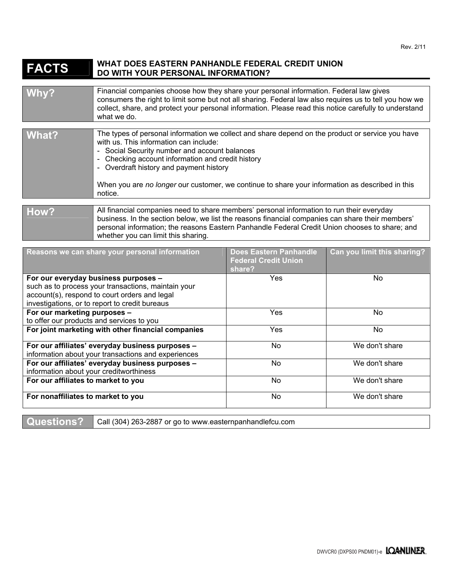## **FACTS WHAT DOES EASTERN PANHANDLE FEDERAL CREDIT UNION DO WITH YOUR PERSONAL INFORMATION?**

| Why?         | Financial companies choose how they share your personal information. Federal law gives<br>consumers the right to limit some but not all sharing. Federal law also requires us to tell you how we<br>collect, share, and protect your personal information. Please read this notice carefully to understand<br>what we do.                                                                                 |
|--------------|-----------------------------------------------------------------------------------------------------------------------------------------------------------------------------------------------------------------------------------------------------------------------------------------------------------------------------------------------------------------------------------------------------------|
|              |                                                                                                                                                                                                                                                                                                                                                                                                           |
| <b>What?</b> | The types of personal information we collect and share depend on the product or service you have<br>with us. This information can include:<br>- Social Security number and account balances<br>- Checking account information and credit history<br>- Overdraft history and payment history<br>When you are no longer our customer, we continue to share your information as described in this<br>notice. |
|              |                                                                                                                                                                                                                                                                                                                                                                                                           |
|              | .                                                                                                                                                                                                                                                                                                                                                                                                         |

| How? | All financial companies need to share members' personal information to run their everyday        |
|------|--------------------------------------------------------------------------------------------------|
|      | business. In the section below, we list the reasons financial companies can share their members' |
|      | personal information; the reasons Eastern Panhandle Federal Credit Union chooses to share; and   |
|      | whether you can limit this sharing.                                                              |

| Reasons we can share your personal information                                                                                                                                                 | <b>Does Eastern Panhandle</b><br><b>Federal Credit Union</b><br>share? | Can you limit this sharing? |
|------------------------------------------------------------------------------------------------------------------------------------------------------------------------------------------------|------------------------------------------------------------------------|-----------------------------|
| For our everyday business purposes -<br>such as to process your transactions, maintain your<br>account(s), respond to court orders and legal<br>investigations, or to report to credit bureaus | <b>Yes</b>                                                             | No.                         |
| For our marketing purposes -<br>to offer our products and services to you                                                                                                                      | <b>Yes</b>                                                             | No.                         |
| For joint marketing with other financial companies                                                                                                                                             | Yes                                                                    | No                          |
| For our affiliates' everyday business purposes -<br>information about your transactions and experiences                                                                                        | No                                                                     | We don't share              |
| For our affiliates' everyday business purposes -<br>information about your creditworthiness                                                                                                    | No                                                                     | We don't share              |
| For our affiliates to market to you                                                                                                                                                            | No                                                                     | We don't share              |
| For nonaffiliates to market to you                                                                                                                                                             | No                                                                     | We don't share              |

Questions? **Call (304) 263-2887** or go to www.easternpanhandlefcu.com